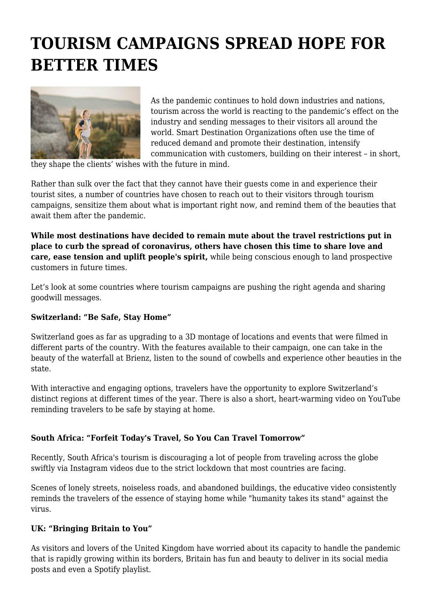# **TOURISM CAMPAIGNS SPREAD HOPE FOR BETTER TIMES**



As the pandemic continues to hold down industries and nations, tourism across the world is reacting to the pandemic's effect on the industry and sending messages to their visitors all around the world. Smart Destination Organizations often use the time of reduced demand and promote their destination, intensify communication with customers, building on their interest – in short,

they shape the clients' wishes with the future in mind.

Rather than sulk over the fact that they cannot have their guests come in and experience their tourist sites, a number of countries have chosen to reach out to their visitors through tourism campaigns, sensitize them about what is important right now, and remind them of the beauties that await them after the pandemic.

**While most destinations have decided to remain mute about the travel restrictions put in place to curb the spread of coronavirus, others have chosen this time to share love and care, ease tension and uplift people's spirit,** while being conscious enough to land prospective customers in future times.

Let's look at some countries where tourism campaigns are pushing the right agenda and sharing goodwill messages.

# **Switzerland: "Be Safe, Stay Home"**

Switzerland goes as far as upgrading to a 3D montage of locations and events that were filmed in different parts of the country. With the features available to their campaign, one can take in the beauty of the waterfall at Brienz, listen to the sound of cowbells and experience other beauties in the state.

With interactive and engaging options, travelers have the opportunity to explore Switzerland's distinct regions at different times of the year. There is also a short, heart-warming video on YouTube reminding travelers to be safe by staying at home.

# **South Africa: "Forfeit Today's Travel, So You Can Travel Tomorrow"**

Recently, South Africa's tourism is discouraging a lot of people from traveling across the globe swiftly via Instagram videos due to the strict lockdown that most countries are facing.

Scenes of lonely streets, noiseless roads, and abandoned buildings, the educative video consistently reminds the travelers of the essence of staying home while "humanity takes its stand" against the virus.

# **UK: "Bringing Britain to You"**

As visitors and lovers of the United Kingdom have worried about its capacity to handle the pandemic that is rapidly growing within its borders, Britain has fun and beauty to deliver in its social media posts and even a Spotify playlist.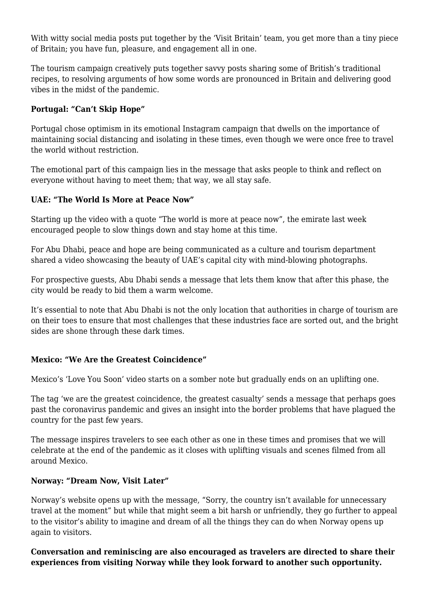With witty social media posts put together by the 'Visit Britain' team, you get more than a tiny piece of Britain; you have fun, pleasure, and engagement all in one.

The tourism campaign creatively puts together savvy posts sharing some of British's traditional recipes, to resolving arguments of how some words are pronounced in Britain and delivering good vibes in the midst of the pandemic.

# **Portugal: "Can't Skip Hope"**

Portugal chose optimism in its emotional Instagram campaign that dwells on the importance of maintaining social distancing and isolating in these times, even though we were once free to travel the world without restriction.

The emotional part of this campaign lies in the message that asks people to think and reflect on everyone without having to meet them; that way, we all stay safe.

### **UAE: "The World Is More at Peace Now"**

Starting up the video with a quote "The world is more at peace now", the emirate last week encouraged people to slow things down and stay home at this time.

For Abu Dhabi, peace and hope are being communicated as a culture and tourism department shared a video showcasing the beauty of UAE's capital city with mind-blowing photographs.

For prospective guests, Abu Dhabi sends a message that lets them know that after this phase, the city would be ready to bid them a warm welcome.

It's essential to note that Abu Dhabi is not the only location that authorities in charge of tourism are on their toes to ensure that most challenges that these industries face are sorted out, and the bright sides are shone through these dark times.

### **Mexico: "We Are the Greatest Coincidence"**

Mexico's 'Love You Soon' video starts on a somber note but gradually ends on an uplifting one.

The tag 'we are the greatest coincidence, the greatest casualty' sends a message that perhaps goes past the coronavirus pandemic and gives an insight into the border problems that have plagued the country for the past few years.

The message inspires travelers to see each other as one in these times and promises that we will celebrate at the end of the pandemic as it closes with uplifting visuals and scenes filmed from all around Mexico.

# **Norway: "Dream Now, Visit Later"**

Norway's website opens up with the message, "Sorry, the country isn't available for unnecessary travel at the moment" but while that might seem a bit harsh or unfriendly, they go further to appeal to the visitor's ability to imagine and dream of all the things they can do when Norway opens up again to visitors.

**Conversation and reminiscing are also encouraged as travelers are directed to share their experiences from visiting Norway while they look forward to another such opportunity.**